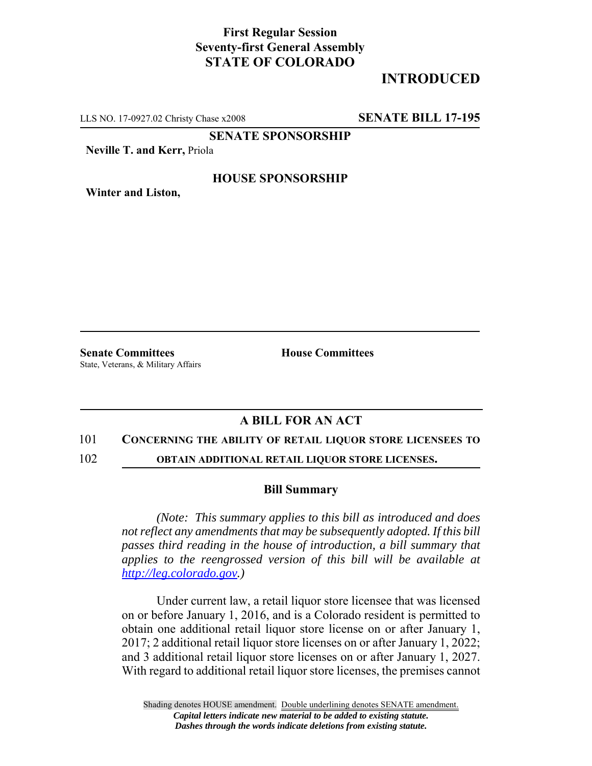## **First Regular Session Seventy-first General Assembly STATE OF COLORADO**

# **INTRODUCED**

LLS NO. 17-0927.02 Christy Chase x2008 **SENATE BILL 17-195**

**SENATE SPONSORSHIP**

**Neville T. and Kerr,** Priola

### **HOUSE SPONSORSHIP**

**Winter and Liston,**

**Senate Committees House Committees** State, Veterans, & Military Affairs

## **A BILL FOR AN ACT**

#### 101 **CONCERNING THE ABILITY OF RETAIL LIQUOR STORE LICENSEES TO**

102 **OBTAIN ADDITIONAL RETAIL LIQUOR STORE LICENSES.**

#### **Bill Summary**

*(Note: This summary applies to this bill as introduced and does not reflect any amendments that may be subsequently adopted. If this bill passes third reading in the house of introduction, a bill summary that applies to the reengrossed version of this bill will be available at http://leg.colorado.gov.)*

Under current law, a retail liquor store licensee that was licensed on or before January 1, 2016, and is a Colorado resident is permitted to obtain one additional retail liquor store license on or after January 1, 2017; 2 additional retail liquor store licenses on or after January 1, 2022; and 3 additional retail liquor store licenses on or after January 1, 2027. With regard to additional retail liquor store licenses, the premises cannot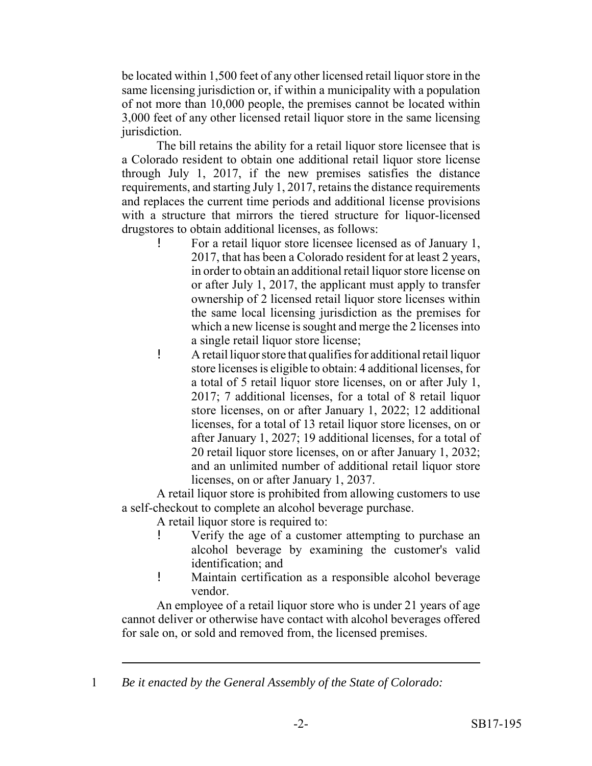be located within 1,500 feet of any other licensed retail liquor store in the same licensing jurisdiction or, if within a municipality with a population of not more than 10,000 people, the premises cannot be located within 3,000 feet of any other licensed retail liquor store in the same licensing jurisdiction.

The bill retains the ability for a retail liquor store licensee that is a Colorado resident to obtain one additional retail liquor store license through July 1, 2017, if the new premises satisfies the distance requirements, and starting July 1, 2017, retains the distance requirements and replaces the current time periods and additional license provisions with a structure that mirrors the tiered structure for liquor-licensed drugstores to obtain additional licenses, as follows:

- ! For a retail liquor store licensee licensed as of January 1, 2017, that has been a Colorado resident for at least 2 years, in order to obtain an additional retail liquor store license on or after July 1, 2017, the applicant must apply to transfer ownership of 2 licensed retail liquor store licenses within the same local licensing jurisdiction as the premises for which a new license is sought and merge the 2 licenses into a single retail liquor store license;
- ! A retail liquor store that qualifies for additional retail liquor store licenses is eligible to obtain: 4 additional licenses, for a total of 5 retail liquor store licenses, on or after July 1, 2017; 7 additional licenses, for a total of 8 retail liquor store licenses, on or after January 1, 2022; 12 additional licenses, for a total of 13 retail liquor store licenses, on or after January 1, 2027; 19 additional licenses, for a total of 20 retail liquor store licenses, on or after January 1, 2032; and an unlimited number of additional retail liquor store licenses, on or after January 1, 2037.

A retail liquor store is prohibited from allowing customers to use a self-checkout to complete an alcohol beverage purchase.

A retail liquor store is required to:

- ! Verify the age of a customer attempting to purchase an alcohol beverage by examining the customer's valid identification; and
- ! Maintain certification as a responsible alcohol beverage vendor.

An employee of a retail liquor store who is under 21 years of age cannot deliver or otherwise have contact with alcohol beverages offered for sale on, or sold and removed from, the licensed premises.

1 *Be it enacted by the General Assembly of the State of Colorado:*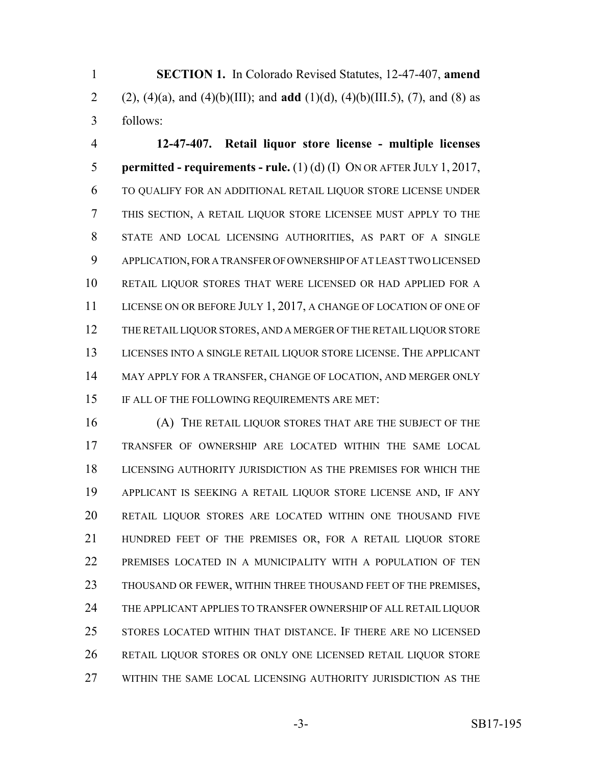**SECTION 1.** In Colorado Revised Statutes, 12-47-407, **amend** 2 (2), (4)(a), and (4)(b)(III); and **add** (1)(d), (4)(b)(III.5), (7), and (8) as follows:

 **12-47-407. Retail liquor store license - multiple licenses permitted - requirements - rule.** (1) (d) (I) ON OR AFTER JULY 1, 2017, TO QUALIFY FOR AN ADDITIONAL RETAIL LIQUOR STORE LICENSE UNDER THIS SECTION, A RETAIL LIQUOR STORE LICENSEE MUST APPLY TO THE STATE AND LOCAL LICENSING AUTHORITIES, AS PART OF A SINGLE APPLICATION, FOR A TRANSFER OF OWNERSHIP OF AT LEAST TWO LICENSED RETAIL LIQUOR STORES THAT WERE LICENSED OR HAD APPLIED FOR A 11 LICENSE ON OR BEFORE JULY 1, 2017, A CHANGE OF LOCATION OF ONE OF THE RETAIL LIQUOR STORES, AND A MERGER OF THE RETAIL LIQUOR STORE LICENSES INTO A SINGLE RETAIL LIQUOR STORE LICENSE. THE APPLICANT MAY APPLY FOR A TRANSFER, CHANGE OF LOCATION, AND MERGER ONLY IF ALL OF THE FOLLOWING REQUIREMENTS ARE MET:

 (A) THE RETAIL LIQUOR STORES THAT ARE THE SUBJECT OF THE TRANSFER OF OWNERSHIP ARE LOCATED WITHIN THE SAME LOCAL LICENSING AUTHORITY JURISDICTION AS THE PREMISES FOR WHICH THE APPLICANT IS SEEKING A RETAIL LIQUOR STORE LICENSE AND, IF ANY RETAIL LIQUOR STORES ARE LOCATED WITHIN ONE THOUSAND FIVE HUNDRED FEET OF THE PREMISES OR, FOR A RETAIL LIQUOR STORE PREMISES LOCATED IN A MUNICIPALITY WITH A POPULATION OF TEN THOUSAND OR FEWER, WITHIN THREE THOUSAND FEET OF THE PREMISES, THE APPLICANT APPLIES TO TRANSFER OWNERSHIP OF ALL RETAIL LIQUOR STORES LOCATED WITHIN THAT DISTANCE. IF THERE ARE NO LICENSED RETAIL LIQUOR STORES OR ONLY ONE LICENSED RETAIL LIQUOR STORE WITHIN THE SAME LOCAL LICENSING AUTHORITY JURISDICTION AS THE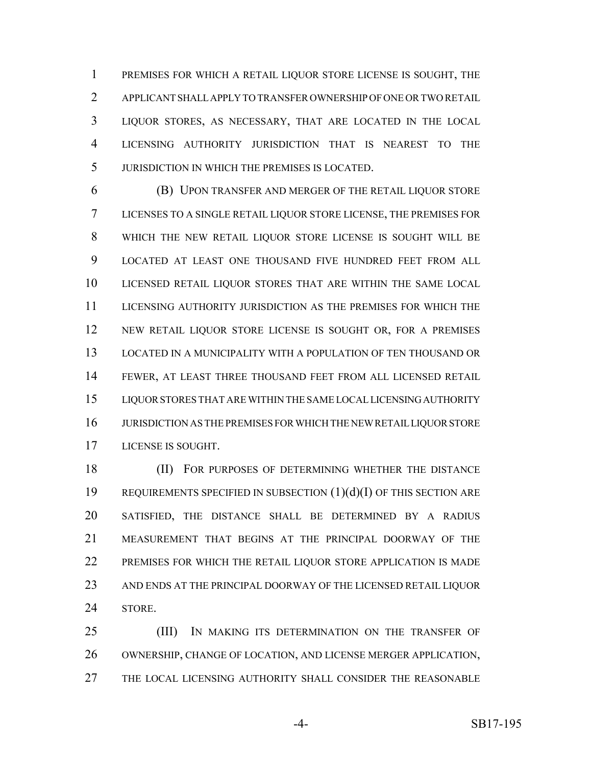PREMISES FOR WHICH A RETAIL LIQUOR STORE LICENSE IS SOUGHT, THE APPLICANT SHALL APPLY TO TRANSFER OWNERSHIP OF ONE OR TWO RETAIL LIQUOR STORES, AS NECESSARY, THAT ARE LOCATED IN THE LOCAL LICENSING AUTHORITY JURISDICTION THAT IS NEAREST TO THE JURISDICTION IN WHICH THE PREMISES IS LOCATED.

 (B) UPON TRANSFER AND MERGER OF THE RETAIL LIQUOR STORE LICENSES TO A SINGLE RETAIL LIQUOR STORE LICENSE, THE PREMISES FOR WHICH THE NEW RETAIL LIQUOR STORE LICENSE IS SOUGHT WILL BE LOCATED AT LEAST ONE THOUSAND FIVE HUNDRED FEET FROM ALL LICENSED RETAIL LIQUOR STORES THAT ARE WITHIN THE SAME LOCAL LICENSING AUTHORITY JURISDICTION AS THE PREMISES FOR WHICH THE NEW RETAIL LIQUOR STORE LICENSE IS SOUGHT OR, FOR A PREMISES LOCATED IN A MUNICIPALITY WITH A POPULATION OF TEN THOUSAND OR FEWER, AT LEAST THREE THOUSAND FEET FROM ALL LICENSED RETAIL LIQUOR STORES THAT ARE WITHIN THE SAME LOCAL LICENSING AUTHORITY JURISDICTION AS THE PREMISES FOR WHICH THE NEW RETAIL LIQUOR STORE LICENSE IS SOUGHT.

18 (II) FOR PURPOSES OF DETERMINING WHETHER THE DISTANCE REQUIREMENTS SPECIFIED IN SUBSECTION (1)(d)(I) OF THIS SECTION ARE SATISFIED, THE DISTANCE SHALL BE DETERMINED BY A RADIUS MEASUREMENT THAT BEGINS AT THE PRINCIPAL DOORWAY OF THE PREMISES FOR WHICH THE RETAIL LIQUOR STORE APPLICATION IS MADE AND ENDS AT THE PRINCIPAL DOORWAY OF THE LICENSED RETAIL LIQUOR STORE.

**(III)** IN MAKING ITS DETERMINATION ON THE TRANSFER OF OWNERSHIP, CHANGE OF LOCATION, AND LICENSE MERGER APPLICATION, THE LOCAL LICENSING AUTHORITY SHALL CONSIDER THE REASONABLE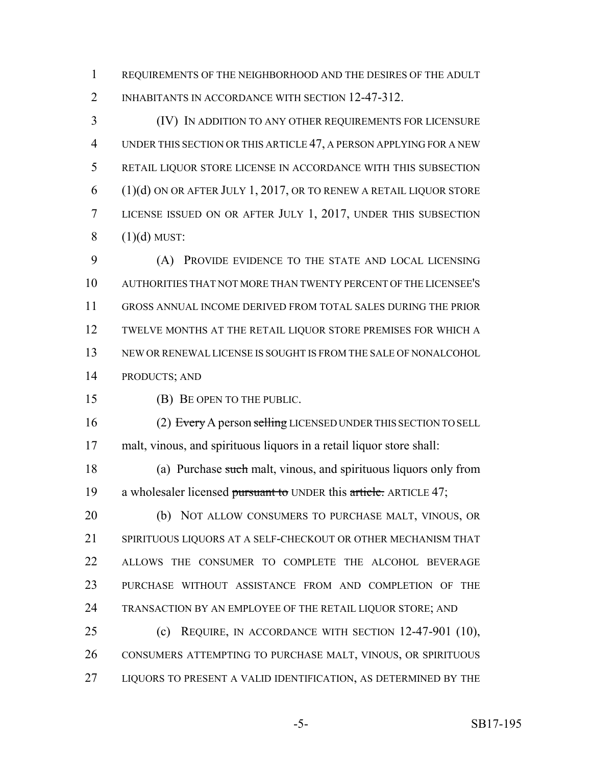REQUIREMENTS OF THE NEIGHBORHOOD AND THE DESIRES OF THE ADULT INHABITANTS IN ACCORDANCE WITH SECTION 12-47-312.

 (IV) IN ADDITION TO ANY OTHER REQUIREMENTS FOR LICENSURE UNDER THIS SECTION OR THIS ARTICLE 47, A PERSON APPLYING FOR A NEW RETAIL LIQUOR STORE LICENSE IN ACCORDANCE WITH THIS SUBSECTION (1)(d) ON OR AFTER JULY 1, 2017, OR TO RENEW A RETAIL LIQUOR STORE LICENSE ISSUED ON OR AFTER JULY 1, 2017, UNDER THIS SUBSECTION  $8 \qquad (1)(d)$  MUST:

 (A) PROVIDE EVIDENCE TO THE STATE AND LOCAL LICENSING AUTHORITIES THAT NOT MORE THAN TWENTY PERCENT OF THE LICENSEE'S GROSS ANNUAL INCOME DERIVED FROM TOTAL SALES DURING THE PRIOR TWELVE MONTHS AT THE RETAIL LIQUOR STORE PREMISES FOR WHICH A NEW OR RENEWAL LICENSE IS SOUGHT IS FROM THE SALE OF NONALCOHOL PRODUCTS; AND

(B) BE OPEN TO THE PUBLIC.

16 (2) Every A person selling LICENSED UNDER THIS SECTION TO SELL malt, vinous, and spirituous liquors in a retail liquor store shall:

 (a) Purchase such malt, vinous, and spirituous liquors only from 19 a wholesaler licensed pursuant to UNDER this article. ARTICLE 47;

 (b) NOT ALLOW CONSUMERS TO PURCHASE MALT, VINOUS, OR SPIRITUOUS LIQUORS AT A SELF-CHECKOUT OR OTHER MECHANISM THAT ALLOWS THE CONSUMER TO COMPLETE THE ALCOHOL BEVERAGE PURCHASE WITHOUT ASSISTANCE FROM AND COMPLETION OF THE 24 TRANSACTION BY AN EMPLOYEE OF THE RETAIL LIQUOR STORE; AND

 (c) REQUIRE, IN ACCORDANCE WITH SECTION 12-47-901 (10), CONSUMERS ATTEMPTING TO PURCHASE MALT, VINOUS, OR SPIRITUOUS 27 LIQUORS TO PRESENT A VALID IDENTIFICATION, AS DETERMINED BY THE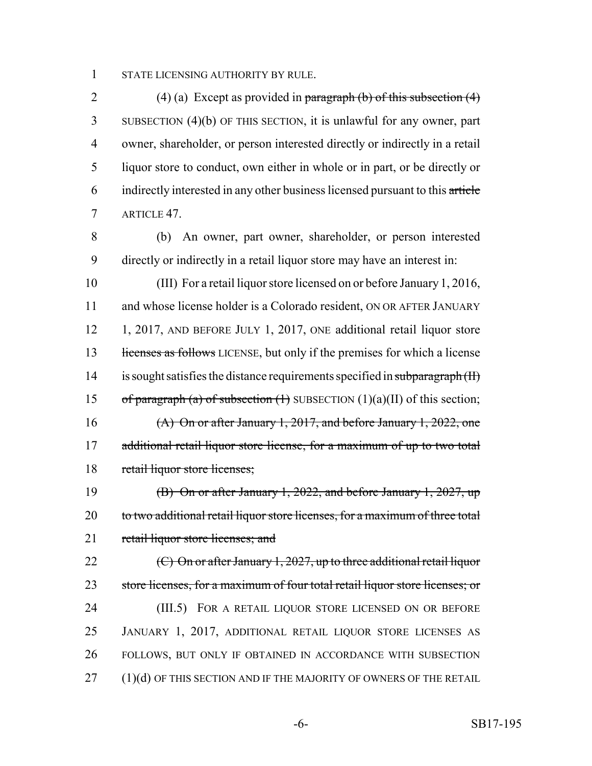1 STATE LICENSING AUTHORITY BY RULE.

2 (4) (a) Except as provided in paragraph (b) of this subsection  $(4)$  SUBSECTION (4)(b) OF THIS SECTION, it is unlawful for any owner, part owner, shareholder, or person interested directly or indirectly in a retail liquor store to conduct, own either in whole or in part, or be directly or indirectly interested in any other business licensed pursuant to this article ARTICLE 47.

8 (b) An owner, part owner, shareholder, or person interested 9 directly or indirectly in a retail liquor store may have an interest in:

10 (III) For a retail liquor store licensed on or before January 1, 2016, 11 and whose license holder is a Colorado resident, ON OR AFTER JANUARY 12 1, 2017, AND BEFORE JULY 1, 2017, ONE additional retail liquor store 13 licenses as follows LICENSE, but only if the premises for which a license 14 is sought satisfies the distance requirements specified in subparagraph (II) 15 of paragraph (a) of subsection  $(1)$  SUBSECTION  $(1)(a)(II)$  of this section; 16 (A) On or after January 1, 2017, and before January 1, 2022, one 17 additional retail liquor store license, for a maximum of up to two total 18 retail liquor store licenses;

19 (B) On or after January 1, 2022, and before January 1, 2027, up 20 to two additional retail liquor store licenses, for a maximum of three total 21 retail liquor store licenses; and

 $(C)$  On or after January 1, 2027, up to three additional retail liquor store licenses, for a maximum of four total retail liquor store licenses; or 24 (III.5) FOR A RETAIL LIQUOR STORE LICENSED ON OR BEFORE JANUARY 1, 2017, ADDITIONAL RETAIL LIQUOR STORE LICENSES AS FOLLOWS, BUT ONLY IF OBTAINED IN ACCORDANCE WITH SUBSECTION 27 (1)(d) OF THIS SECTION AND IF THE MAJORITY OF OWNERS OF THE RETAIL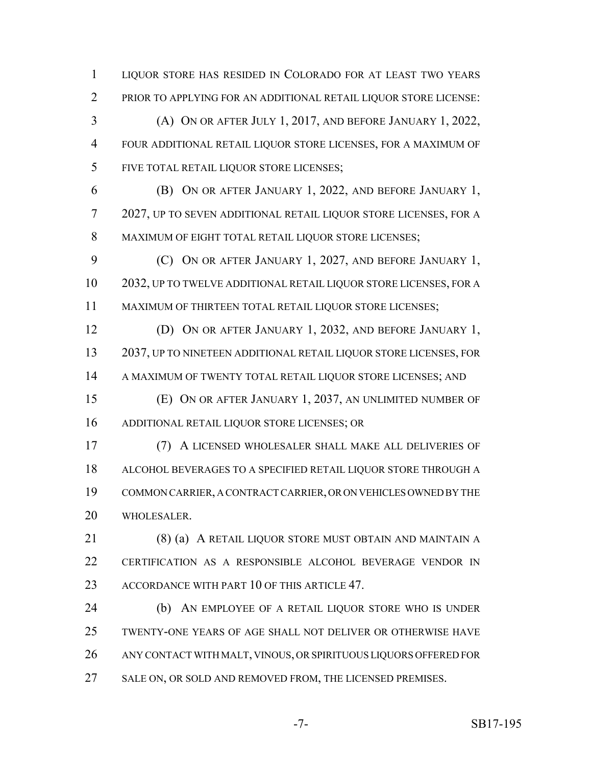LIQUOR STORE HAS RESIDED IN COLORADO FOR AT LEAST TWO YEARS PRIOR TO APPLYING FOR AN ADDITIONAL RETAIL LIQUOR STORE LICENSE:

 (A) ON OR AFTER JULY 1, 2017, AND BEFORE JANUARY 1, 2022, FOUR ADDITIONAL RETAIL LIQUOR STORE LICENSES, FOR A MAXIMUM OF FIVE TOTAL RETAIL LIQUOR STORE LICENSES;

 (B) ON OR AFTER JANUARY 1, 2022, AND BEFORE JANUARY 1, 2027, UP TO SEVEN ADDITIONAL RETAIL LIQUOR STORE LICENSES, FOR A 8 MAXIMUM OF EIGHT TOTAL RETAIL LIQUOR STORE LICENSES;

**(C)** ON OR AFTER JANUARY 1, 2027, AND BEFORE JANUARY 1, 2032, UP TO TWELVE ADDITIONAL RETAIL LIQUOR STORE LICENSES, FOR A MAXIMUM OF THIRTEEN TOTAL RETAIL LIQUOR STORE LICENSES;

 (D) ON OR AFTER JANUARY 1, 2032, AND BEFORE JANUARY 1, 2037, UP TO NINETEEN ADDITIONAL RETAIL LIQUOR STORE LICENSES, FOR 14 A MAXIMUM OF TWENTY TOTAL RETAIL LIQUOR STORE LICENSES; AND

 (E) ON OR AFTER JANUARY 1, 2037, AN UNLIMITED NUMBER OF ADDITIONAL RETAIL LIQUOR STORE LICENSES; OR

 (7) A LICENSED WHOLESALER SHALL MAKE ALL DELIVERIES OF ALCOHOL BEVERAGES TO A SPECIFIED RETAIL LIQUOR STORE THROUGH A COMMON CARRIER, A CONTRACT CARRIER, OR ON VEHICLES OWNED BY THE WHOLESALER.

 (8) (a) A RETAIL LIQUOR STORE MUST OBTAIN AND MAINTAIN A CERTIFICATION AS A RESPONSIBLE ALCOHOL BEVERAGE VENDOR IN ACCORDANCE WITH PART 10 OF THIS ARTICLE 47.

 (b) AN EMPLOYEE OF A RETAIL LIQUOR STORE WHO IS UNDER TWENTY-ONE YEARS OF AGE SHALL NOT DELIVER OR OTHERWISE HAVE ANY CONTACT WITH MALT, VINOUS, OR SPIRITUOUS LIQUORS OFFERED FOR 27 SALE ON, OR SOLD AND REMOVED FROM, THE LICENSED PREMISES.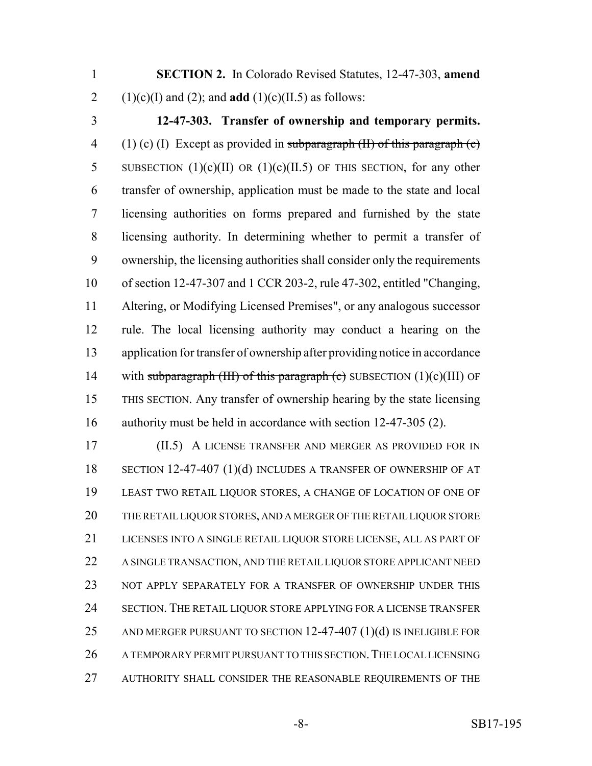**SECTION 2.** In Colorado Revised Statutes, 12-47-303, **amend** 2 (1)(c)(I) and (2); and **add** (1)(c)(II.5) as follows:

 **12-47-303. Transfer of ownership and temporary permits.** 4 (1) (c) (I) Except as provided in subparagraph  $(H)$  of this paragraph  $(c)$ 5 SUBSECTION  $(1)(c)(II)$  OR  $(1)(c)(II.5)$  OF THIS SECTION, for any other transfer of ownership, application must be made to the state and local licensing authorities on forms prepared and furnished by the state licensing authority. In determining whether to permit a transfer of ownership, the licensing authorities shall consider only the requirements of section 12-47-307 and 1 CCR 203-2, rule 47-302, entitled "Changing, Altering, or Modifying Licensed Premises", or any analogous successor rule. The local licensing authority may conduct a hearing on the application for transfer of ownership after providing notice in accordance 14 with subparagraph (III) of this paragraph (c) SUBSECTION  $(1)(c)(III)$  OF THIS SECTION. Any transfer of ownership hearing by the state licensing authority must be held in accordance with section 12-47-305 (2).

 (II.5) A LICENSE TRANSFER AND MERGER AS PROVIDED FOR IN SECTION 12-47-407 (1)(d) INCLUDES A TRANSFER OF OWNERSHIP OF AT LEAST TWO RETAIL LIQUOR STORES, A CHANGE OF LOCATION OF ONE OF THE RETAIL LIQUOR STORES, AND A MERGER OF THE RETAIL LIQUOR STORE LICENSES INTO A SINGLE RETAIL LIQUOR STORE LICENSE, ALL AS PART OF A SINGLE TRANSACTION, AND THE RETAIL LIQUOR STORE APPLICANT NEED NOT APPLY SEPARATELY FOR A TRANSFER OF OWNERSHIP UNDER THIS SECTION. THE RETAIL LIQUOR STORE APPLYING FOR A LICENSE TRANSFER 25 AND MERGER PURSUANT TO SECTION 12-47-407 (1)(d) IS INELIGIBLE FOR A TEMPORARY PERMIT PURSUANT TO THIS SECTION.THE LOCAL LICENSING 27 AUTHORITY SHALL CONSIDER THE REASONABLE REQUIREMENTS OF THE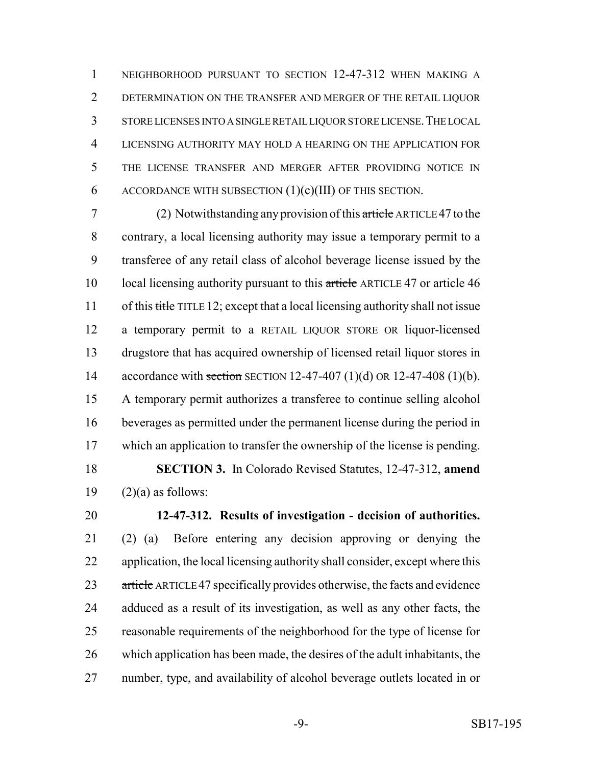NEIGHBORHOOD PURSUANT TO SECTION 12-47-312 WHEN MAKING A DETERMINATION ON THE TRANSFER AND MERGER OF THE RETAIL LIQUOR STORE LICENSES INTO A SINGLE RETAIL LIQUOR STORE LICENSE.THE LOCAL LICENSING AUTHORITY MAY HOLD A HEARING ON THE APPLICATION FOR THE LICENSE TRANSFER AND MERGER AFTER PROVIDING NOTICE IN 6 ACCORDANCE WITH SUBSECTION  $(1)(c)(III)$  OF THIS SECTION.

 (2) Notwithstanding any provision of this article ARTICLE 47 to the contrary, a local licensing authority may issue a temporary permit to a transferee of any retail class of alcohol beverage license issued by the 10 local licensing authority pursuant to this article ARTICLE 47 or article 46 11 of this title TITLE 12; except that a local licensing authority shall not issue a temporary permit to a RETAIL LIQUOR STORE OR liquor-licensed drugstore that has acquired ownership of licensed retail liquor stores in 14 accordance with section SECTION 12-47-407 (1)(d) OR 12-47-408 (1)(b). A temporary permit authorizes a transferee to continue selling alcohol beverages as permitted under the permanent license during the period in which an application to transfer the ownership of the license is pending. **SECTION 3.** In Colorado Revised Statutes, 12-47-312, **amend**  $(2)(a)$  as follows:

 **12-47-312. Results of investigation - decision of authorities.** (2) (a) Before entering any decision approving or denying the application, the local licensing authority shall consider, except where this 23 article ARTICLE 47 specifically provides otherwise, the facts and evidence adduced as a result of its investigation, as well as any other facts, the reasonable requirements of the neighborhood for the type of license for which application has been made, the desires of the adult inhabitants, the number, type, and availability of alcohol beverage outlets located in or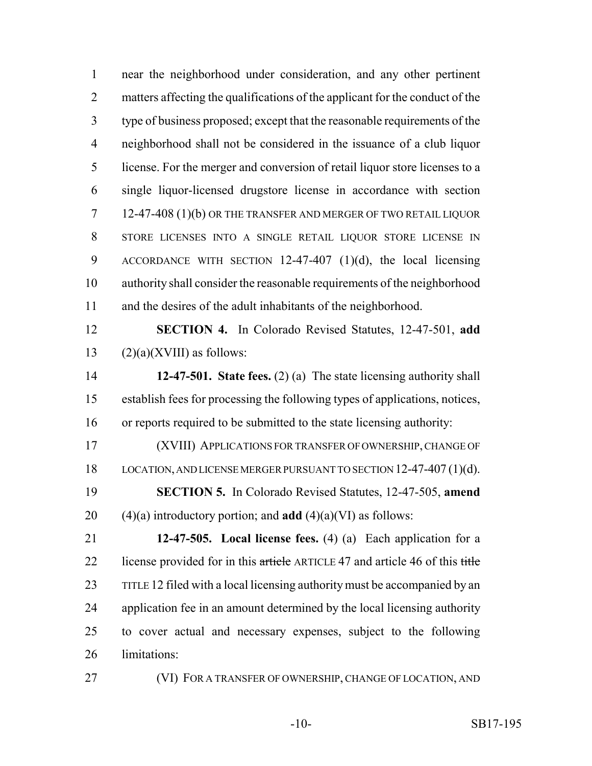near the neighborhood under consideration, and any other pertinent matters affecting the qualifications of the applicant for the conduct of the type of business proposed; except that the reasonable requirements of the neighborhood shall not be considered in the issuance of a club liquor license. For the merger and conversion of retail liquor store licenses to a single liquor-licensed drugstore license in accordance with section 12-47-408 (1)(b) OR THE TRANSFER AND MERGER OF TWO RETAIL LIQUOR STORE LICENSES INTO A SINGLE RETAIL LIQUOR STORE LICENSE IN ACCORDANCE WITH SECTION 12-47-407 (1)(d), the local licensing authority shall consider the reasonable requirements of the neighborhood and the desires of the adult inhabitants of the neighborhood.

 **SECTION 4.** In Colorado Revised Statutes, 12-47-501, **add** 13  $(2)(a)(XVIII)$  as follows:

 **12-47-501. State fees.** (2) (a) The state licensing authority shall establish fees for processing the following types of applications, notices, or reports required to be submitted to the state licensing authority:

 (XVIII) APPLICATIONS FOR TRANSFER OF OWNERSHIP, CHANGE OF LOCATION, AND LICENSE MERGER PURSUANT TO SECTION 12-47-407 (1)(d). **SECTION 5.** In Colorado Revised Statutes, 12-47-505, **amend** (4)(a) introductory portion; and **add** (4)(a)(VI) as follows:

 **12-47-505. Local license fees.** (4) (a) Each application for a 22 license provided for in this article ARTICLE 47 and article 46 of this title TITLE 12 filed with a local licensing authority must be accompanied by an application fee in an amount determined by the local licensing authority to cover actual and necessary expenses, subject to the following limitations:

(VI) FOR A TRANSFER OF OWNERSHIP, CHANGE OF LOCATION, AND